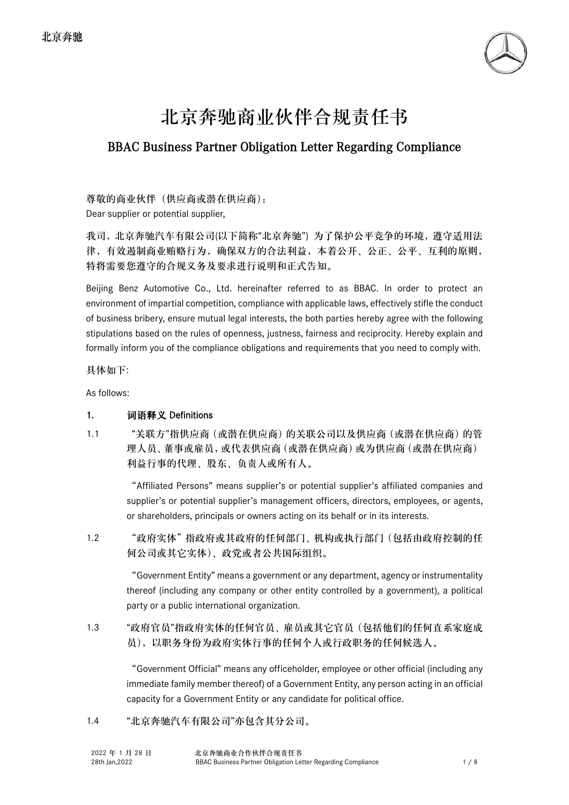

# 北京奔驰商业伙伴合规责任书

## BBAC Business Partner Obligation Letter Regarding Compliance

尊敬的商业伙伴(供应商或潜在供应商): Dear supplier or potential supplier,

我司,北京奔驰汽车有限公司(以下简称"北京奔驰") 为了保护公平竞争的环境,遵守适用法 律,有效遏制商业贿赂行为,确保双方的合法利益,本着公开、公正、公平、互利的原则, 特将需要您遵守的合规义务及要求进行说明和正式告知。

Beijing Benz Automotive Co., Ltd. hereinafter referred to as BBAC. In order to protect an environment of impartial competition, compliance with applicable laws, effectively stifle the conduct of business bribery, ensure mutual legal interests, the both parties hereby agree with the following stipulations based on the rules of openness, justness, fairness and reciprocity. Hereby explain and formally inform you of the compliance obligations and requirements that you need to comply with.

具体如下:

As follows:

#### 1. 词语释义 Definitions

1.1 "关联方"指供应商(或潜在供应商)的关联公司以及供应商(或潜在供应商)的管 理人员、董事或雇员,或代表供应商(或潜在供应商)或为供应商(或潜在供应商) 利益行事的代理、股东、负责人或所有人。

> "Affiliated Persons" means supplier's or potential supplier's affiliated companies and supplier's or potential supplier's management officers, directors, employees, or agents, or shareholders, principals or owners acting on its behalf or in its interests.

1.2 "政府实体"指政府或其政府的任何部门、机构或执行部门(包括由政府控制的任 何公司或其它实体)、政党或者公共国际组织。

> "Government Entity" means a government or any department, agency or instrumentality thereof (including any company or other entity controlled by a government), a political party or a public international organization.

1.3 "政府官员"指政府实体的任何官员、雇员或其它官员(包括他们的任何直系家庭成 员),以职务身份为政府实体行事的任何个人或行政职务的任何候选人。

> "Government Official" means any officeholder, employee or other official (including any immediate family member thereof) of a Government Entity, any person acting in an official capacity for a Government Entity or any candidate for political office.

#### 1.4 "北京奔驰汽车有限公司"亦包含其分公司。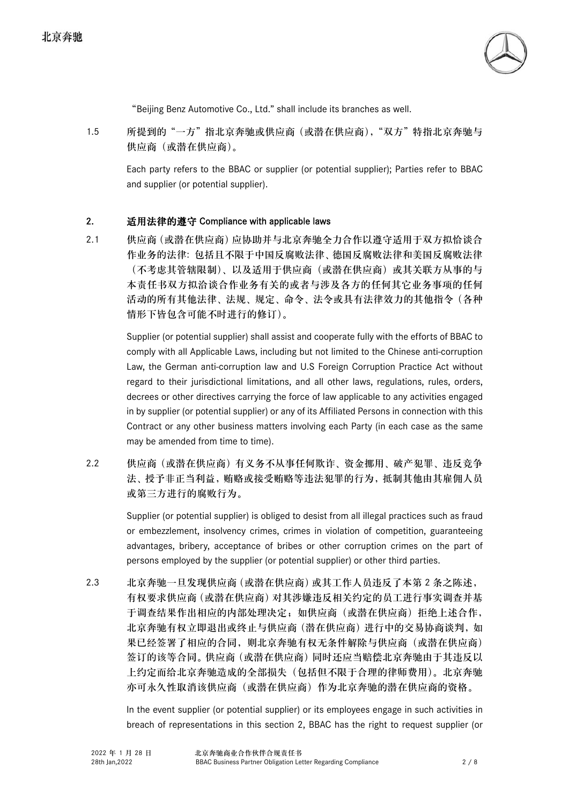

"Beijing Benz Automotive Co., Ltd." shall include its branches as well.

1.5 所提到的"一方"指北京奔驰或供应商(或潜在供应商),"双方"特指北京奔驰与 供应商(或潜在供应商)。

Each party refers to the BBAC or supplier (or potential supplier); Parties refer to BBAC and supplier (or potential supplier).

#### 2. 适用法律的遵守 Compliance with applicable laws

2.1 供应商(或潜在供应商)应协助并与北京奔驰全力合作以遵守适用于双方拟恰谈合 作业务的法律: 包括且不限于中国反腐败法律、德国反腐败法律和美国反腐败法律 (不考虑其管辖限制)、以及适用于供应商(或潜在供应商)或其关联方从事的与 本责任书双方拟洽谈合作业务有关的或者与涉及各方的任何其它业务事项的任何 活动的所有其他法律、法规、规定、命令、法令或具有法律效力的其他指令(各种 情形下皆包含可能不时进行的修订)。

> Supplier (or potential supplier) shall assist and cooperate fully with the efforts of BBAC to comply with all Applicable Laws, including but not limited to the Chinese anti-corruption Law, the German anti-corruption law and U.S Foreign Corruption Practice Act without regard to their jurisdictional limitations, and all other laws, regulations, rules, orders, decrees or other directives carrying the force of law applicable to any activities engaged in by supplier (or potential supplier) or any of its Affiliated Persons in connection with this Contract or any other business matters involving each Party (in each case as the same may be amended from time to time).

2.2 供应商(或潜在供应商)有义务不从事任何欺诈、资金挪用、破产犯罪、违反竞争 法、授予非正当利益,贿赂或接受贿赂等违法犯罪的行为,抵制其他由其雇佣人员 或第三方进行的腐败行为。

> Supplier (or potential supplier) is obliged to desist from all illegal practices such as fraud or embezzlement, insolvency crimes, crimes in violation of competition, guaranteeing advantages, bribery, acceptance of bribes or other corruption crimes on the part of persons employed by the supplier (or potential supplier) or other third parties.

2.3 北京奔驰一旦发现供应商(或潜在供应商)或其工作人员违反了本第 2 条之陈述, 有权要求供应商(或潜在供应商)对其涉嫌违反相关约定的员工进行事实调查并基 于调查结果作出相应的内部处理决定;如供应商(或潜在供应商)拒绝上述合作, 北京奔驰有权立即退出或终止与供应商(潜在供应商)进行中的交易协商谈判,如 果已经签署了相应的合同,则北京奔驰有权无条件解除与供应商(或潜在供应商) 签订的该等合同。供应商(或潜在供应商)同时还应当赔偿北京奔驰由于其违反以 上约定而给北京奔驰造成的全部损失(包括但不限于合理的律师费用)。北京奔驰 亦可永久性取消该供应商(或潜在供应商)作为北京奔驰的潜在供应商的资格。

> In the event supplier (or potential supplier) or its employees engage in such activities in breach of representations in this section 2, BBAC has the right to request supplier (or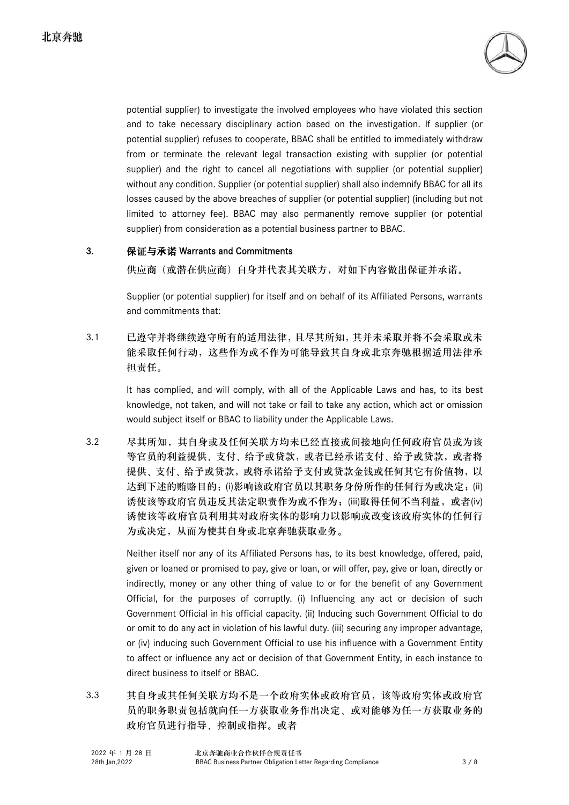

potential supplier) to investigate the involved employees who have violated this section and to take necessary disciplinary action based on the investigation. If supplier (or potential supplier) refuses to cooperate, BBAC shall be entitled to immediately withdraw from or terminate the relevant legal transaction existing with supplier (or potential supplier) and the right to cancel all negotiations with supplier (or potential supplier) without any condition. Supplier (or potential supplier) shall also indemnify BBAC for all its losses caused by the above breaches of supplier (or potential supplier) (including but not limited to attorney fee). BBAC may also permanently remove supplier (or potential supplier) from consideration as a potential business partner to BBAC.

#### 3. 保证与承诺 Warrants and Commitments

供应商(或潜在供应商)自身并代表其关联方,对如下内容做出保证并承诺。

Supplier (or potential supplier) for itself and on behalf of its Affiliated Persons, warrants and commitments that:

3.1 已遵守并将继续遵守所有的适用法律,且尽其所知,其并未采取并将不会采取或未 能采取任何行动,这些作为或不作为可能导致其自身或北京奔驰根据适用法律承 担责任。

> It has complied, and will comply, with all of the Applicable Laws and has, to its best knowledge, not taken, and will not take or fail to take any action, which act or omission would subject itself or BBAC to liability under the Applicable Laws.

3.2 尽其所知,其自身或及任何关联方均未已经直接或间接地向任何政府官员或为该 等官员的利益提供、支付、给予或贷款,或者已经承诺支付、给予或贷款,或者将 提供、支付、给予或贷款,或将承诺给予支付或贷款金钱或任何其它有价值物,以 达到下述的贿赂目的: (i)影响该政府官员以其职务身份所作的任何行为或决定;(ii) 诱使该等政府官员违反其法定职责作为或不作为;(iii)取得任何不当利益,或者(iv) 诱使该等政府官员利用其对政府实体的影响力以影响或改变该政府实体的任何行 为或决定,从而为使其自身或北京奔驰获取业务。

> Neither itself nor any of its Affiliated Persons has, to its best knowledge, offered, paid, given or loaned or promised to pay, give or loan, or will offer, pay, give or loan, directly or indirectly, money or any other thing of value to or for the benefit of any Government Official, for the purposes of corruptly. (i) Influencing any act or decision of such Government Official in his official capacity. (ii) Inducing such Government Official to do or omit to do any act in violation of his lawful duty. (iii) securing any improper advantage, or (iv) inducing such Government Official to use his influence with a Government Entity to affect or influence any act or decision of that Government Entity, in each instance to direct business to itself or BBAC.

3.3 其自身或其任何关联方均不是一个政府实体或政府官员,该等政府实体或政府官 员的职务职责包括就向任一方获取业务作出决定、或对能够为任一方获取业务的 政府官员进行指导、控制或指挥。或者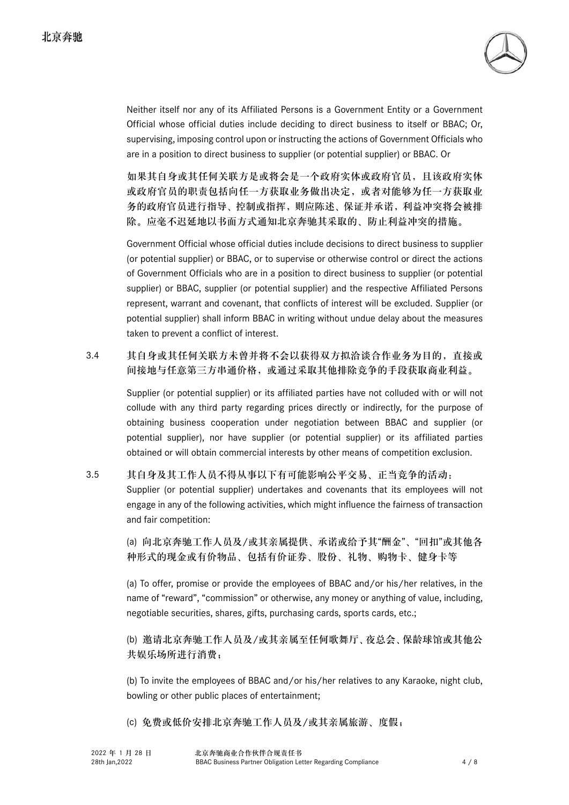

Neither itself nor any of its Affiliated Persons is a Government Entity or a Government Official whose official duties include deciding to direct business to itself or BBAC; Or, supervising, imposing control upon or instructing the actions of Government Officials who are in a position to direct business to supplier (or potential supplier) or BBAC. Or

如果其自身或其任何关联方是或将会是一个政府实体或政府官员,且该政府实体 或政府官员的职责包括向任一方获取业务做出决定,或者对能够为任一方获取业 务的政府官员进行指导、控制或指挥,则应陈述、保证并承诺,利益冲突将会被排 除。应毫不迟延地以书面方式通知北京奔驰其采取的、防止利益冲突的措施。

Government Official whose official duties include decisions to direct business to supplier (or potential supplier) or BBAC, or to supervise or otherwise control or direct the actions of Government Officials who are in a position to direct business to supplier (or potential supplier) or BBAC, supplier (or potential supplier) and the respective Affiliated Persons represent, warrant and covenant, that conflicts of interest will be excluded. Supplier (or potential supplier) shall inform BBAC in writing without undue delay about the measures taken to prevent a conflict of interest.

#### 3.4 其自身或其任何关联方未曾并将不会以获得双方拟洽谈合作业务为目的,直接或 间接地与任意第三方串通价格,或通过采取其他排除竞争的手段获取商业利益。

Supplier (or potential supplier) or its affiliated parties have not colluded with or will not collude with any third party regarding prices directly or indirectly, for the purpose of obtaining business cooperation under negotiation between BBAC and supplier (or potential supplier), nor have supplier (or potential supplier) or its affiliated parties obtained or will obtain commercial interests by other means of competition exclusion.

3.5 其自身及其工作人员不得从事以下有可能影响公平交易、正当竞争的活动: Supplier (or potential supplier) undertakes and covenants that its employees will not engage in any of the following activities, which might influence the fairness of transaction and fair competition:

> (a) 向北京奔驰工作人员及/或其亲属提供、承诺或给予其"酬金"、"回扣"或其他各 种形式的现金或有价物品、包括有价证券、股份、礼物、购物卡、健身卡等

> (a) To offer, promise or provide the employees of BBAC and/or his/her relatives, in the name of "reward", "commission" or otherwise, any money or anything of value, including, negotiable securities, shares, gifts, purchasing cards, sports cards, etc.;

> (b) 邀请北京奔驰工作人员及/或其亲属至任何歌舞厅、夜总会、保龄球馆或其他公 共娱乐场所进行消费;

> (b) To invite the employees of BBAC and/or his/her relatives to any Karaoke, night club, bowling or other public places of entertainment;

(c) 免费或低价安排北京奔驰工作人员及/或其亲属旅游、度假;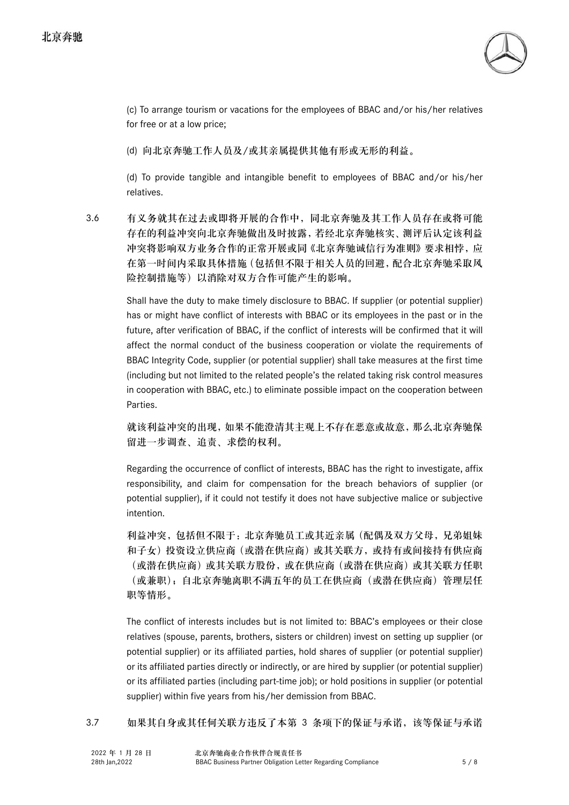

(c) To arrange tourism or vacations for the employees of BBAC and/or his/her relatives for free or at a low price;

(d) 向北京奔驰工作人员及/或其亲属提供其他有形或无形的利益。

(d) To provide tangible and intangible benefit to employees of BBAC and/or his/her relatives.

3.6 有义务就其在过去或即将开展的合作中,同北京奔驰及其工作人员存在或将可能 存在的利益冲突向北京奔驰做出及时披露,若经北京奔驰核实、测评后认定该利益 冲突将影响双方业务合作的正常开展或同《北京奔驰诚信行为准则》要求相悖, 应 在第一时间内采取具体措施(包括但不限于相关人员的回避,配合北京奔驰采取风 险控制措施等)以消除对双方合作可能产生的影响。

> Shall have the duty to make timely disclosure to BBAC. If supplier (or potential supplier) has or might have conflict of interests with BBAC or its employees in the past or in the future, after verification of BBAC, if the conflict of interests will be confirmed that it will affect the normal conduct of the business cooperation or violate the requirements of BBAC Integrity Code, supplier (or potential supplier) shall take measures at the first time (including but not limited to the related people's the related taking risk control measures in cooperation with BBAC, etc.) to eliminate possible impact on the cooperation between Parties.

> 就该利益冲突的出现,如果不能澄清其主观上不存在恶意或故意,那么北京奔驰保 留进一步调查、追责、求偿的权利。

> Regarding the occurrence of conflict of interests, BBAC has the right to investigate, affix responsibility, and claim for compensation for the breach behaviors of supplier (or potential supplier), if it could not testify it does not have subjective malice or subjective intention.

> 利益冲突,包括但不限于:北京奔驰员工或其近亲属(配偶及双方父母,兄弟姐妹 和子女)投资设立供应商(或潜在供应商)或其关联方,或持有或间接持有供应商 (或潜在供应商)或其关联方股份,或在供应商(或潜在供应商)或其关联方任职 (或兼职);自北京奔驰离职不满五年的员工在供应商(或潜在供应商)管理层任 职等情形。

> The conflict of interests includes but is not limited to: BBAC's employees or their close relatives (spouse, parents, brothers, sisters or children) invest on setting up supplier (or potential supplier) or its affiliated parties, hold shares of supplier (or potential supplier) or its affiliated parties directly or indirectly, or are hired by supplier (or potential supplier) or its affiliated parties (including part-time job); or hold positions in supplier (or potential supplier) within five years from his/her demission from BBAC.

3.7 如果其自身或其任何关联方违反了本第 3 条项下的保证与承诺,该等保证与承诺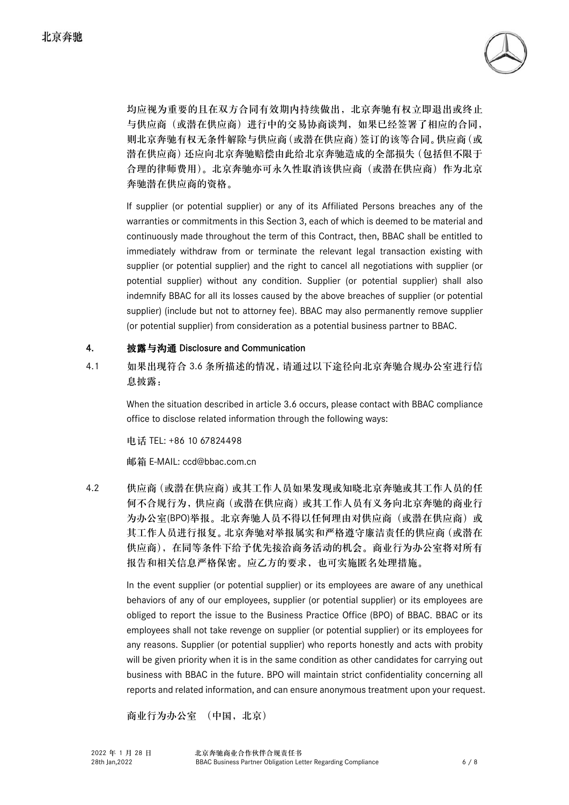

均应视为重要的且在双方合同有效期内持续做出,北京奔驰有权立即退出或终止 与供应商(或潜在供应商)进行中的交易协商谈判,如果已经签署了相应的合同, 则北京奔驰有权无条件解除与供应商(或潜在供应商)签订的该等合同。供应商(或 潜在供应商)还应向北京奔驰赔偿由此给北京奔驰造成的全部损失(包括但不限于 合理的律师费用)。北京奔驰亦可永久性取消该供应商(或潜在供应商)作为北京 奔驰潜在供应商的资格。

If supplier (or potential supplier) or any of its Affiliated Persons breaches any of the warranties or commitments in this Section 3, each of which is deemed to be material and continuously made throughout the term of this Contract, then, BBAC shall be entitled to immediately withdraw from or terminate the relevant legal transaction existing with supplier (or potential supplier) and the right to cancel all negotiations with supplier (or potential supplier) without any condition. Supplier (or potential supplier) shall also indemnify BBAC for all its losses caused by the above breaches of supplier (or potential supplier) (include but not to attorney fee). BBAC may also permanently remove supplier (or potential supplier) from consideration as a potential business partner to BBAC.

#### 4. 披露与沟通 Disclosure and Communication

4.1 如果出现符合 3.6 条所描述的情况,请通过以下途径向北京奔驰合规办公室进行信 息披露:

> When the situation described in article 3.6 occurs, please contact with BBAC compliance office to disclose related information through the following ways:

电话 TEL: +86 10 67824498

邮箱 E-MAIL: ccd@bbac.com.cn

4.2 供应商(或潜在供应商)或其工作人员如果发现或知晓北京奔驰或其工作人员的任 何不合规行为,供应商(或潜在供应商)或其工作人员有义务向北京奔驰的商业行 为办公室(BPO)举报。北京奔驰人员不得以任何理由对供应商(或潜在供应商)或 其工作人员进行报复。北京奔驰对举报属实和严格遵守廉洁责任的供应商(或潜在 供应商),在同等条件下给予优先接洽商务活动的机会。商业行为办公室将对所有 报告和相关信息严格保密。应乙方的要求,也可实施匿名处理措施。

> In the event supplier (or potential supplier) or its employees are aware of any unethical behaviors of any of our employees, supplier (or potential supplier) or its employees are obliged to report the issue to the Business Practice Office (BPO) of BBAC. BBAC or its employees shall not take revenge on supplier (or potential supplier) or its employees for any reasons. Supplier (or potential supplier) who reports honestly and acts with probity will be given priority when it is in the same condition as other candidates for carrying out business with BBAC in the future. BPO will maintain strict confidentiality concerning all reports and related information, and can ensure anonymous treatment upon your request.

商业行为办公室 (中国,北京)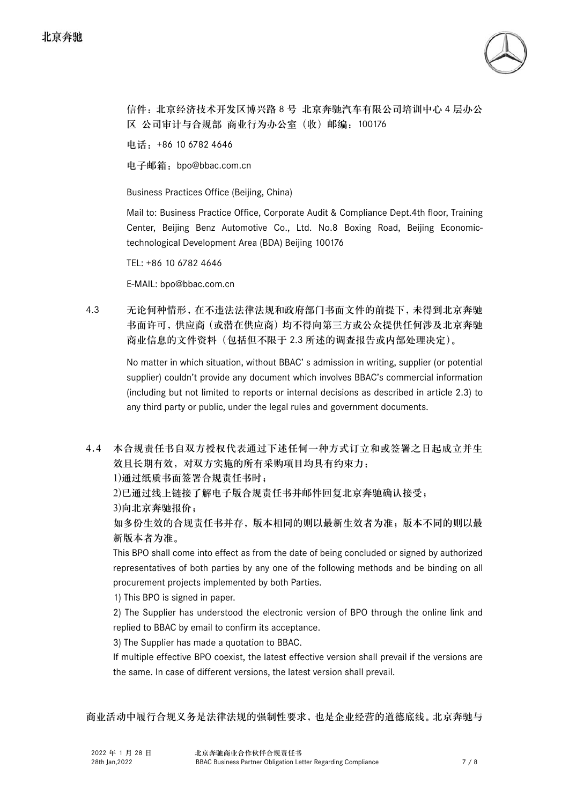

信件: 北京经济技术开发区博兴路 8 号 北京奔驰汽车有限公司培训中心 4 层办公 区 公司审计与合规部 商业行为办公室(收)邮编:100176

电话:+86 10 6782 4646

电子邮箱:bpo@bbac.com.cn

Business Practices Office (Beijing, China)

Mail to: Business Practice Office, Corporate Audit & Compliance Dept.4th floor, Training Center, Beijing Benz Automotive Co., Ltd. No.8 Boxing Road, Beijing Economictechnological Development Area (BDA) Beijing 100176

TEL: +86 10 6782 4646

E-MAIL: bpo@bbac.com.cn

4.3 无论何种情形,在不违法法律法规和政府部门书面文件的前提下,未得到北京奔驰 书面许可,供应商(或潜在供应商)均不得向第三方或公众提供任何涉及北京奔驰 商业信息的文件资料(包括但不限于 2.3 所述的调查报告或内部处理决定)。

> No matter in which situation, without BBAC' s admission in writing, supplier (or potential supplier) couldn't provide any document which involves BBAC's commercial information (including but not limited to reports or internal decisions as described in article 2.3) to any third party or public, under the legal rules and government documents.

4.4 本合规责任书自双方授权代表通过下述任何一种方式订立和或签署之日起成立并生 效且长期有效, 对双方实施的所有采购项目均具有约束力:

1)通过纸质书面签署合规责任书时;

2)已通过线上链接了解电子版合规责任书并邮件回复北京奔驰确认接受;

3)向北京奔驰报价;

如多份生效的合规责任书并存,版本相同的则以最新生效者为准;版本不同的则以最 新版本者为准。

This BPO shall come into effect as from the date of being concluded or signed by authorized representatives of both parties by any one of the following methods and be binding on all procurement projects implemented by both Parties.

1) This BPO is signed in paper.

2) The Supplier has understood the electronic version of BPO through the online link and replied to BBAC by email to confirm its acceptance.

3) The Supplier has made a quotation to BBAC.

If multiple effective BPO coexist, the latest effective version shall prevail if the versions are the same. In case of different versions, the latest version shall prevail.

商业活动中履行合规义务是法律法规的强制性要求,也是企业经营的道德底线。北京奔驰与